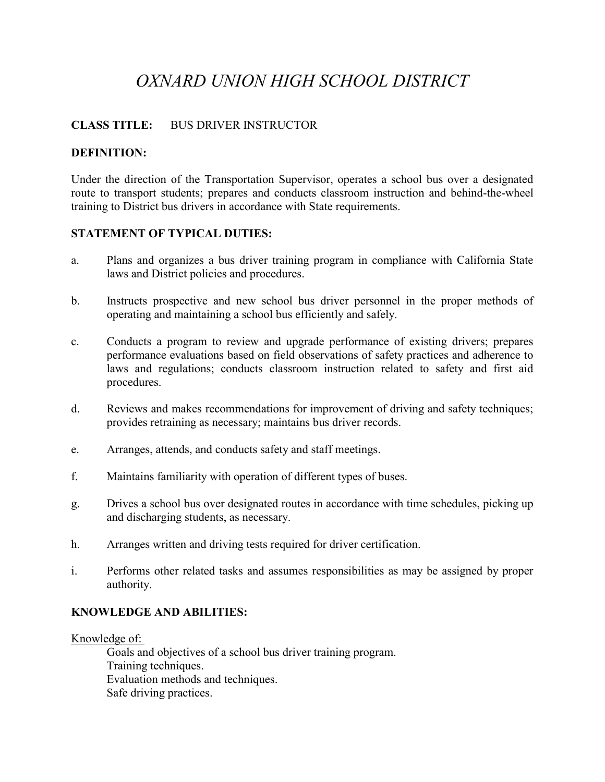# *OXNARD UNION HIGH SCHOOL DISTRICT*

# **CLASS TITLE:** BUS DRIVER INSTRUCTOR

# **DEFINITION:**

Under the direction of the Transportation Supervisor, operates a school bus over a designated route to transport students; prepares and conducts classroom instruction and behind-the-wheel training to District bus drivers in accordance with State requirements.

# **STATEMENT OF TYPICAL DUTIES:**

- a. Plans and organizes a bus driver training program in compliance with California State laws and District policies and procedures.
- b. Instructs prospective and new school bus driver personnel in the proper methods of operating and maintaining a school bus efficiently and safely.
- c. Conducts a program to review and upgrade performance of existing drivers; prepares performance evaluations based on field observations of safety practices and adherence to laws and regulations; conducts classroom instruction related to safety and first aid procedures.
- d. Reviews and makes recommendations for improvement of driving and safety techniques; provides retraining as necessary; maintains bus driver records.
- e. Arranges, attends, and conducts safety and staff meetings.
- f. Maintains familiarity with operation of different types of buses.
- g. Drives a school bus over designated routes in accordance with time schedules, picking up and discharging students, as necessary.
- h. Arranges written and driving tests required for driver certification.
- i. Performs other related tasks and assumes responsibilities as may be assigned by proper authority.

## **KNOWLEDGE AND ABILITIES:**

Knowledge of:

Goals and objectives of a school bus driver training program. Training techniques. Evaluation methods and techniques. Safe driving practices.